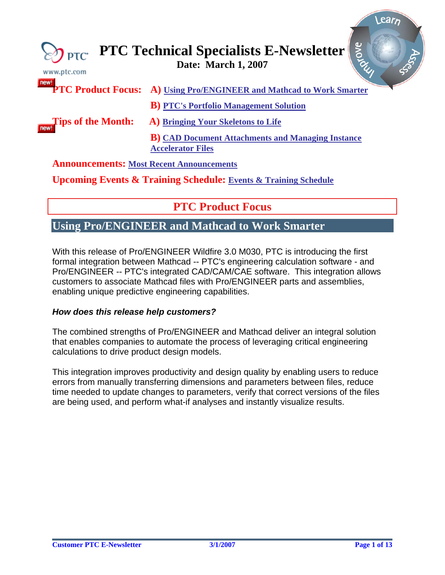<span id="page-0-0"></span>

| $\gtrsim$ PTC<br>www.ptc.com                    | arozok<br><b>PTC Technical Specialists E-Newsletter Date: March 1, 2007</b>           |
|-------------------------------------------------|---------------------------------------------------------------------------------------|
|                                                 | <b>PTC Product Focus:</b> A) Using Pro/ENGINEER and Mathcad to Work Smarter           |
|                                                 | <b>B</b> ) PTC's Portfolio Management Solution                                        |
| <b>Tips of the Month:</b>                       | A) Bringing Your Skeletons to Life                                                    |
|                                                 | <b>B</b> ) CAD Document Attachments and Managing Instance<br><b>Accelerator Files</b> |
| <b>Announcements: Most Recent Announcements</b> |                                                                                       |
|                                                 | <b>Upcoming Events &amp; Training Schedule: Events &amp; Training Schedule</b>        |

## **PTC Product Focus**

### **Using Pro/ENGINEER and Mathcad to Work Smarter**

With this release of Pro/ENGINEER Wildfire 3.0 M030, PTC is introducing the first formal integration between Mathcad -- PTC's engineering calculation software - and Pro/ENGINEER -- PTC's integrated CAD/CAM/CAE software. This integration allows customers to associate Mathcad files with Pro/ENGINEER parts and assemblies, enabling unique predictive engineering capabilities.

#### *How does this release help customers?*

The combined strengths of Pro/ENGINEER and Mathcad deliver an integral solution that enables companies to automate the process of leveraging critical engineering calculations to drive product design models.

This integration improves productivity and design quality by enabling users to reduce errors from manually transferring dimensions and parameters between files, reduce time needed to update changes to parameters, verify that correct versions of the files are being used, and perform what-if analyses and instantly visualize results.

l ear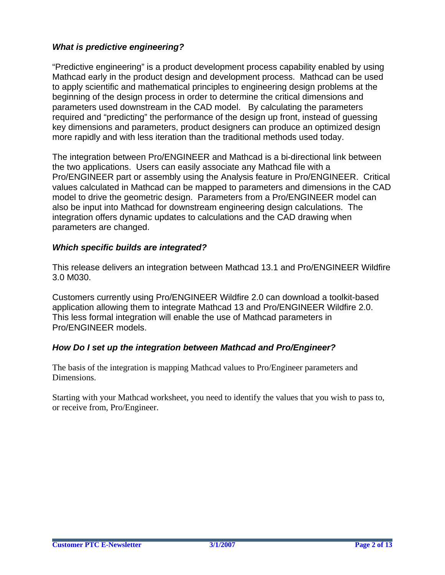### *What is predictive engineering?*

"Predictive engineering" is a product development process capability enabled by using Mathcad early in the product design and development process. Mathcad can be used to apply scientific and mathematical principles to engineering design problems at the beginning of the design process in order to determine the critical dimensions and parameters used downstream in the CAD model. By calculating the parameters required and "predicting" the performance of the design up front, instead of guessing key dimensions and parameters, product designers can produce an optimized design more rapidly and with less iteration than the traditional methods used today.

The integration between Pro/ENGINEER and Mathcad is a bi-directional link between the two applications. Users can easily associate any Mathcad file with a Pro/ENGINEER part or assembly using the Analysis feature in Pro/ENGINEER. Critical values calculated in Mathcad can be mapped to parameters and dimensions in the CAD model to drive the geometric design. Parameters from a Pro/ENGINEER model can also be input into Mathcad for downstream engineering design calculations. The integration offers dynamic updates to calculations and the CAD drawing when parameters are changed.

### *Which specific builds are integrated?*

This release delivers an integration between Mathcad 13.1 and Pro/ENGINEER Wildfire 3.0 M030.

Customers currently using Pro/ENGINEER Wildfire 2.0 can download a toolkit-based application allowing them to integrate Mathcad 13 and Pro/ENGINEER Wildfire 2.0. This less formal integration will enable the use of Mathcad parameters in Pro/ENGINEER models.

### *How Do I set up the integration between Mathcad and Pro/Engineer?*

The basis of the integration is mapping Mathcad values to Pro/Engineer parameters and Dimensions.

Starting with your Mathcad worksheet, you need to identify the values that you wish to pass to, or receive from, Pro/Engineer.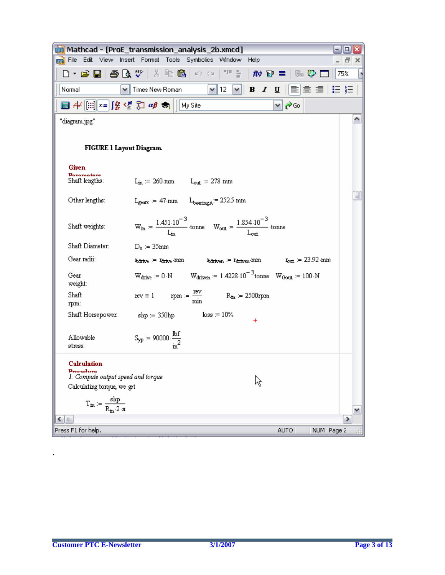|                                                        | [m] Mathcad - [ProE_transmission_analysis_2b.xmcd]                                                                                                                               | ▣                                    |
|--------------------------------------------------------|----------------------------------------------------------------------------------------------------------------------------------------------------------------------------------|--------------------------------------|
|                                                        | File Edit View Insert Format Tools Symbolics Window Help                                                                                                                         | - <i>리</i> ×                         |
|                                                        |                                                                                                                                                                                  | 75%                                  |
| Normal                                                 | $\vee$ Times New Roman                                                                                                                                                           | <u>v 12  v   B / U</u>   ≣ ≘ ≣  ⊟ }∃ |
|                                                        | ■ ∦[:::] x= ∫% < ∑ ∑] αβ ★    My Site                                                                                                                                            | y ⊘Go                                |
| "diagram.jpg"                                          |                                                                                                                                                                                  | ^                                    |
| <b>FIGURE 1 Layout Diagram</b>                         |                                                                                                                                                                                  |                                      |
| <b>Given</b>                                           |                                                                                                                                                                                  |                                      |
| Perematare<br>Shaft lengths:                           | $L_{\text{in}} = 260$ mm $L_{\text{out}} = 278$ mm                                                                                                                               |                                      |
| Other lengths:                                         | $L_{\text{gears}} = 47$ mm $L_{\text{bearingA}} = 252.5$ mm                                                                                                                      | $\equiv$                             |
| Shaft weights:                                         | $W_{in} = \frac{1.451 \cdot 10^{-3}}{I_{in}}$ tonne $W_{out} = \frac{1.854 \cdot 10^{-3}}{I_{out}}$ tonne                                                                        |                                      |
| Shaft Diameter:                                        | $D_0 = 35$ mm                                                                                                                                                                    |                                      |
| Gear radii:                                            | $\texttt{Aditive} \coloneqq \texttt{Iditive} \cdot \texttt{mm}$ $\texttt{Aditive} \coloneqq \texttt{Iditive} \cdot \texttt{mm}$ $\texttt{row} \coloneqq 23.92 \cdot \texttt{mm}$ |                                      |
| Gear<br>weight:                                        | $W_{\text{drive}} = 0 \cdot N$ W <sub>driven</sub> = 1.4228.10 <sup>-3</sup> tonne W <sub>Gout</sub> = 100 N                                                                     |                                      |
| Shaft<br>rpm:                                          | $\text{rev} \equiv 1 \quad \text{rpm} := \frac{\text{rev}}{\text{min}} \quad \text{R}_{\text{in}} = 2500 \text{rpm}$                                                             |                                      |
| Shaft Horsepower:                                      | $shp := 350hp$ $loss := 10\%$<br>$\ddot{}$                                                                                                                                       |                                      |
| Allowable<br>stress:                                   | $S_{yp} = 90000 \cdot \frac{\text{lbf}}{2}$                                                                                                                                      |                                      |
| Calculation                                            |                                                                                                                                                                                  |                                      |
| <b>Procedure</b><br>1. Compute output speed and torque |                                                                                                                                                                                  |                                      |
| Calculating torque, we get                             |                                                                                                                                                                                  |                                      |
| $T_{in} := \frac{shp}{R_{in} \cdot 2 \cdot \pi}$       |                                                                                                                                                                                  |                                      |
| ≺<br>$\  \ $                                           |                                                                                                                                                                                  | ≯                                    |
| Press F1 for help.                                     |                                                                                                                                                                                  | <b>AUTO</b><br>NUM Page 2            |

.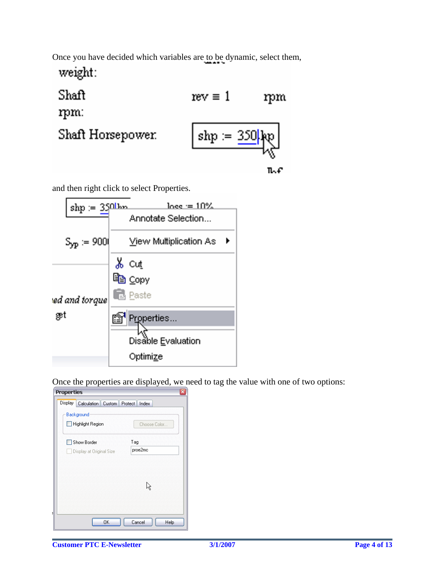Once you have decided which variables are to be dynamic, select them,

weight:

| Shaft             | $rev \equiv 1$      | rpm |
|-------------------|---------------------|-----|
| mm:               |                     |     |
| Shaft Horsepower. | $ $ shp := $350$ kp |     |
|                   |                     | ኬብ  |

and then right click to select Properties.

| $\mathrm{shp} \coloneqq 350$ lba | $l$ nee $=10\%$        |
|----------------------------------|------------------------|
|                                  | Annotate Selection     |
| $S_{\text{yp}} := 9000$          | View Multiplication As |
|                                  | ้‰ cut                 |
|                                  | la Copy                |
| ed and torque                    | <b>E</b> Paste         |
| æt                               | Properties             |
|                                  | Disable Evaluation     |
|                                  | Optimize               |

Once the properties are displayed, we need to tag the value with one of two options:

| ᅑ<br><b>Properties</b>                           |                |
|--------------------------------------------------|----------------|
| Display   Calculation   Custom   Protect   Index |                |
| Background                                       |                |
| Highlight Region                                 | Choose Color   |
| Show Border                                      | Tag            |
| Display at Original Size                         | proe2mc        |
|                                                  |                |
|                                                  |                |
|                                                  |                |
|                                                  |                |
|                                                  |                |
|                                                  |                |
| OK                                               | Cancel<br>Help |
|                                                  |                |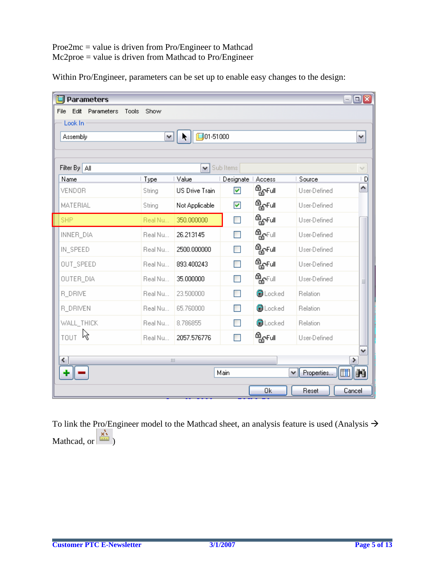### Proe2mc = value is driven from Pro/Engineer to Mathcad Mc2proe = value is driven from Mathcad to Pro/Engineer

Within Pro/Engineer, parameters can be set up to enable easy changes to the design:

| <b>Parameters</b><br>Edit<br>Parameters<br>File | Tools<br>Show |                         |                      |                           |                 | $ \Box$ $\mathbf{x}$ |
|-------------------------------------------------|---------------|-------------------------|----------------------|---------------------------|-----------------|----------------------|
| Look In                                         |               |                         |                      |                           |                 |                      |
| Assembly                                        | ٧             | $\square$ 01-51000<br>K |                      |                           |                 | ٧                    |
| Filter By   All                                 |               | ٧                       | Sub Items            |                           |                 | $\checkmark$         |
| Name                                            | Type          | Value                   | Designate   Access   |                           | Source          | ۱D                   |
| <b>VENDOR</b>                                   | String        | <b>US Drive Train</b>   | ▽                    | <sup>௹</sup> ௐ௺௴          | User-Defined    | ۸                    |
| MATERIAL                                        | String        | Not Applicable          | $\blacktriangledown$ | <sup>இ</sup> ஓFull        | User-Defined    |                      |
| <b>SHP</b>                                      | Real Nu       | 350.000000              | П                    | <b>ி<sub>சி</sub>Full</b> | User-Defined    |                      |
| INNER_DIA                                       | Real Nu       | 26.213145               | П                    | <b>ி<sub>றி</sub>ப</b>    | User-Defined    |                      |
| IN_SPEED                                        | Real Nu       | 2500.000000             | П                    | <sup>த</sup> ொயி          | User-Defined    |                      |
| OUT_SPEED                                       | Real Nu       | 893.400243              | П                    | <sup>௹</sup> ௐ௺௰          | User-Defined    |                      |
| OUTER_DIA                                       | Real Nu       | 35.000000               | П                    | <b>ౚౣ</b> ൳ഄ⊩             | User-Defined    | ≣                    |
| <b>R_DRIVE</b>                                  | Real Nu       | 23.500000               | <b>Tara</b>          | <b>O</b> Locked           | Relation        |                      |
| <b>R_DRIVEN</b>                                 | Real Nu       | 65.760000               |                      | <b>O</b> Locked           | Relation        |                      |
| WALL_THICK                                      | Real Nu       | 8.786855                |                      | <b>O</b> Locked           | Relation        |                      |
| <sub>TOUT</sub> ਨਿ                              | Real Nu       | 2057.576776             | n                    | <sup>த</sup> ொயி          | User-Defined    |                      |
| ≺                                               | Ш             |                         |                      |                           |                 | ٧<br>≯               |
|                                                 |               |                         | Main                 |                           | Properties<br>v | m                    |
|                                                 |               |                         |                      | 0k                        | Reset           | Cancel               |

To link the Pro/Engineer model to the Mathcad sheet, an analysis feature is used (Analysis  $\rightarrow$ Mathcad, or  $\frac{\vec{x}}{\sin \theta}$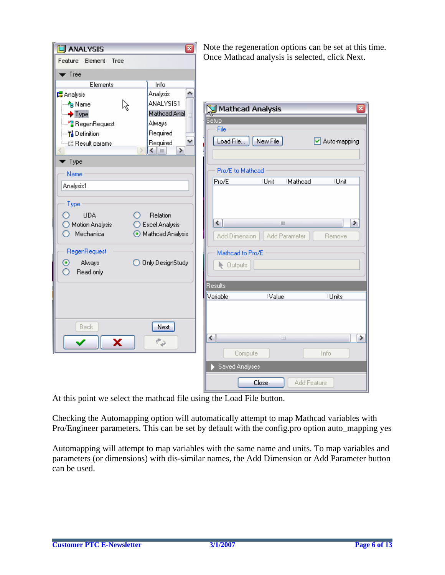| Ø<br><b>ANALYSIS</b><br>Feature Element Tree                                                                                                                                                                                                                                                                                                                                                                                                                                                                                                                       | Note the regeneration options can be set at the<br>Once Mathcad analysis is selected, click Nex                                                                                                                                                   |
|--------------------------------------------------------------------------------------------------------------------------------------------------------------------------------------------------------------------------------------------------------------------------------------------------------------------------------------------------------------------------------------------------------------------------------------------------------------------------------------------------------------------------------------------------------------------|---------------------------------------------------------------------------------------------------------------------------------------------------------------------------------------------------------------------------------------------------|
| $\blacktriangledown$ Tree<br>Elements<br>Info<br>Analysis<br>۸<br><b>B</b> Analysis<br>ANALYSIS1<br>A <sub>B</sub> Name<br>ક્તિ<br>Mathoad Anal<br>$\bigstar$ Type<br>$\equiv$<br>Always<br>∙ <mark>″</mark> ≌ RegenRequest<br>Required<br><mark>节</mark> Definition<br>٧<br>Required<br>- L <sup>i</sup> Result params<br>≯<br>◀       <br>$\blacktriangledown$ Type<br>Name<br>Analysis1<br>Type<br><b>UDA</b><br>Relation<br>◯ Excel Analysis<br>◯ Motion Analysis<br>Mechanica<br>Mathcad Analysis<br>RegenRequest<br>Only DesignStudy<br>Always<br>$_{\odot}$ | Mathcad Analysis<br>Setup<br>File<br>New File<br>Load File<br>Auto-mapping<br>Pro/E to Mathcad<br>Pro/E<br><b>Unit</b><br><b>IUnit</b><br>Mathcad<br>≮∣<br>⋗<br>Ш<br>Add Dimension<br>Add Parameter<br>Remove<br>Mathcad to Pro/E<br>Outputs<br>k |
| Read only<br>Ο                                                                                                                                                                                                                                                                                                                                                                                                                                                                                                                                                     | Results<br>Variable<br><b>Value</b><br><b>IUnits</b>                                                                                                                                                                                              |
| Next<br><b>Back</b><br>ر م<br>x                                                                                                                                                                                                                                                                                                                                                                                                                                                                                                                                    | ≮∣<br>Ш<br>Compute<br>Info<br>Saved Analyses                                                                                                                                                                                                      |
|                                                                                                                                                                                                                                                                                                                                                                                                                                                                                                                                                                    | Close<br>Add Feature                                                                                                                                                                                                                              |

e set at this time. click Next.

 $\overline{\mathbf{x}}$ 

▶

At this point we select the mathcad file using the Load File button.

Checking the Automapping option will automatically attempt to map Mathcad variables with Pro/Engineer parameters. This can be set by default with the config.pro option auto\_mapping yes

Automapping will attempt to map variables with the same name and units. To map variables and parameters (or dimensions) with dis-similar names, the Add Dimension or Add Parameter button can be used.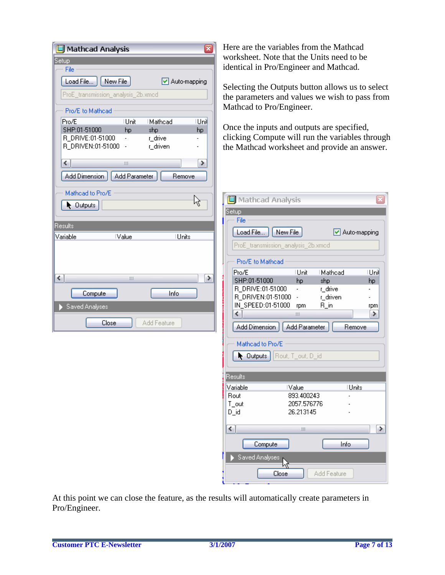| ┳<br>Mathcad Analysis                                                                                                                                                                                                                                                                      | Here are the variables from the Mathcad                                                                                                                                                                                                                                                                                                                                          |
|--------------------------------------------------------------------------------------------------------------------------------------------------------------------------------------------------------------------------------------------------------------------------------------------|----------------------------------------------------------------------------------------------------------------------------------------------------------------------------------------------------------------------------------------------------------------------------------------------------------------------------------------------------------------------------------|
| Setup<br>File                                                                                                                                                                                                                                                                              | worksheet. Note that the Units need to be<br>identical in Pro/Engineer and Mathcad.                                                                                                                                                                                                                                                                                              |
| New File<br>Load File<br>Auto-mapping<br>ProE_transmission_analysis_2b.xmcd<br>Pro/E to Mathcad<br>Unil<br>Pro/E<br><b>Unit</b><br>Mathcad<br>SHP:01-51000<br>shp<br>hp<br>hp<br>R_DRIVE:01-51000<br>r_drive<br>$\overline{\phantom{a}}$<br>R_DRIVEN:01-51000 -<br>r_driven<br>∢<br>≯<br>Ш | Selecting the Outputs button allows us to select<br>the parameters and values we wish to pass from<br>Mathcad to Pro/Engineer.<br>Once the inputs and outputs are specified,<br>clicking Compute will run the variables through<br>the Mathcad worksheet and provide an answer.                                                                                                  |
| Add Dimension<br>Add Parameter<br>Remove<br>Mathdad to Pro/E<br>佟<br>Qutputs<br>Results<br>Variable<br><b>Units</b><br><b>Value</b>                                                                                                                                                        | Mathcad Analysis<br>Setup<br>File<br>New File<br>Load File<br>Auto-mapping<br>ProE_transmission_analysis_2b.xmcd                                                                                                                                                                                                                                                                 |
| ≯<br>≺<br>Ш<br>Info<br>Compute<br>Saved Analyses<br>Add Feature<br>Close                                                                                                                                                                                                                   | Pro/E to Mathcad<br>Pro/E<br><b>Unit</b><br>Mathcad<br>Unil<br>SHP:01-51000<br>shp<br>hp<br>hp<br>r_drive<br>R_DRIVE:01-51000<br>R_DRIVEN:01-51000<br>r_driven<br>IN_SPEED:01-51000<br>$R\_in$<br>rpm<br>rpm<br>≺<br>≯<br>$\parallel \parallel \parallel$<br>Add Dimension<br>Add Parameter<br>Remove<br>Mathdad to Pro/E<br> Rout, T_out, D_id<br>$\blacktriangleright$ Outputs |
|                                                                                                                                                                                                                                                                                            | Results<br><b>Value</b><br>Units<br>Variable<br>893.400243<br>Rout<br>2057.576776<br>T_out<br>26.213145<br>D_id<br>≺∣<br>≯<br>$\  \cdot \ $<br>Compute<br>Info<br>Saved Analyses<br>Add Feature<br>Close                                                                                                                                                                         |

At this point we can close the feature, as the results will automatically create parameters in Pro/Engineer.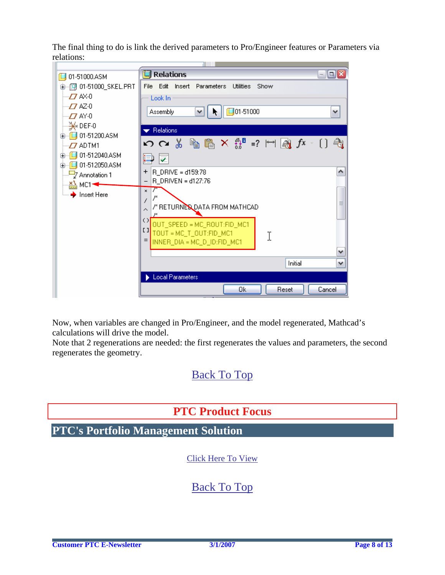<span id="page-7-0"></span>The final thing to do is link the derived parameters to Pro/Engineer features or Parameters via relations:



Now, when variables are changed in Pro/Engineer, and the model regenerated, Mathcad's calculations will drive the model.

Note that 2 regenerations are needed: the first regenerates the values and parameters, the second regenerates the geometry.

## [Back To Top](#page-0-0)

## **PTC Product Focus**

**PTC's Portfolio Management Solution** 

[Click Here To View](http://members.shaw.ca/jpeng/newsletter/PTC_Technical_Specialists_E-Newsletter_03-01-2007_enterprise.pdf)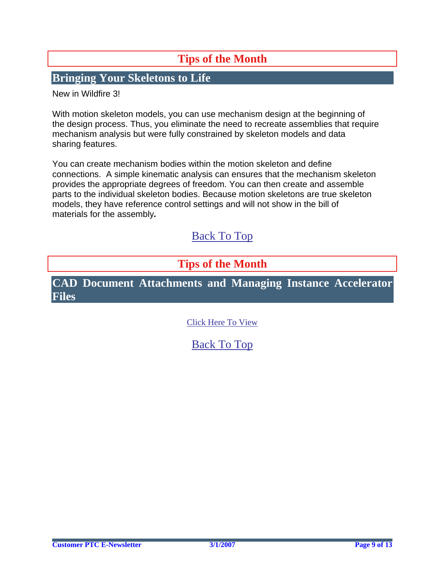# **Tips of the Month**

### <span id="page-8-0"></span>**Bringing Your Skeletons to Life**

New in Wildfire 3!

With motion skeleton models, you can use mechanism design at the beginning of the design process. Thus, you eliminate the need to recreate assemblies that require mechanism analysis but were fully constrained by skeleton models and data sharing features.

You can create mechanism bodies within the motion skeleton and define connections. A simple kinematic analysis can ensures that the mechanism skeleton provides the appropriate degrees of freedom. You can then create and assemble parts to the individual skeleton bodies. Because motion skeletons are true skeleton models, they have reference control settings and will not show in the bill of materials for the assembly*.*

## [Back To Top](#page-0-0)

### **Tips of the Month**

**CAD Document Attachments and Managing Instance Accelerator Files**

[Click Here To View](http://members.shaw.ca/jpeng/newsletter/PTC_Technical_Specialists_E-Newsletter_03-01-2007_enterprise.pdf)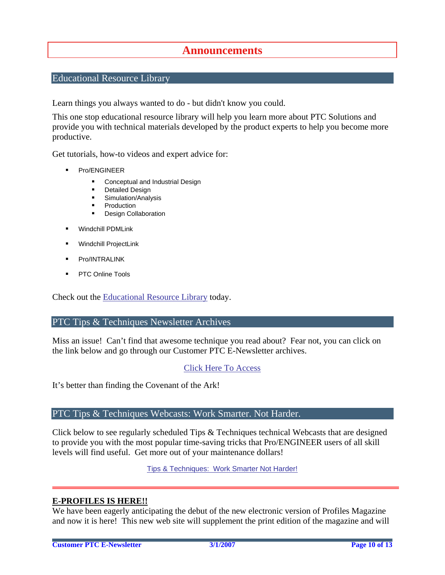### **Announcements**

#### <span id="page-9-0"></span>Educational Resource Library

Learn things you always wanted to do - but didn't know you could.

This one stop educational resource library will help you learn more about PTC Solutions and provide you with technical materials developed by the product experts to help you become more productive.

Get tutorials, how-to videos and expert advice for:

- **Pro/ENGINEER** 
	- **EXECONCEPT** Conceptual and Industrial Design
	- **•** Detailed Design
	- **Simulation/Analysis**
	- Production
	- **Design Collaboration**
- Windchill PDMLink
- Windchill ProjectLink
- Pro/INTRALINK
- PTC Online Tools

Check out the [Educational Resource Library](http://www.ptc.com/community/proewf/newtools/tutorials.htm) today.

#### PTC Tips & Techniques Newsletter Archives

Miss an issue! Can't find that awesome technique you read about? Fear not, you can click on the link below and go through our Customer PTC E-Newsletter archives.

#### [Click Here To Access](http://www.ptc.com/carezone/archive/index.htm)

It's better than finding the Covenant of the Ark!

#### PTC Tips & Techniques Webcasts: Work Smarter. Not Harder.

Click below to see regularly scheduled Tips & Techniques technical Webcasts that are designed to provide you with the most popular time-saving tricks that Pro/ENGINEER users of all skill levels will find useful. Get more out of your maintenance dollars!

Tips & Techniques: Work Smarter Not Harder!

#### **E-PROFILES IS HERE!!**

We have been eagerly anticipating the debut of the new electronic version of Profiles Magazine and now it is here! This new web site will supplement the print edition of the magazine and will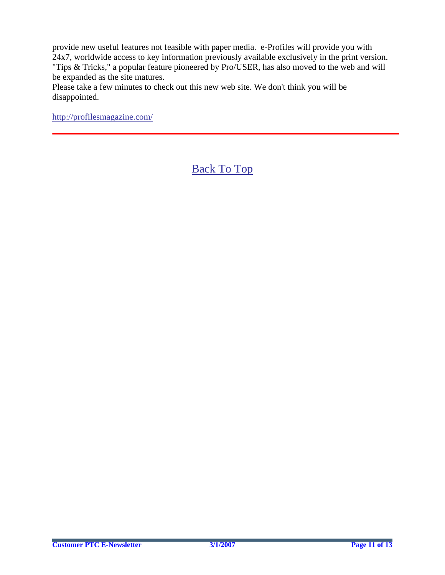provide new useful features not feasible with paper media. e-Profiles will provide you with 24x7, worldwide access to key information previously available exclusively in the print version. "Tips & Tricks," a popular feature pioneered by Pro/USER, has also moved to the web and will be expanded as the site matures.

Please take a few minutes to check out this new web site. We don't think you will be disappointed.

<http://profilesmagazine.com/>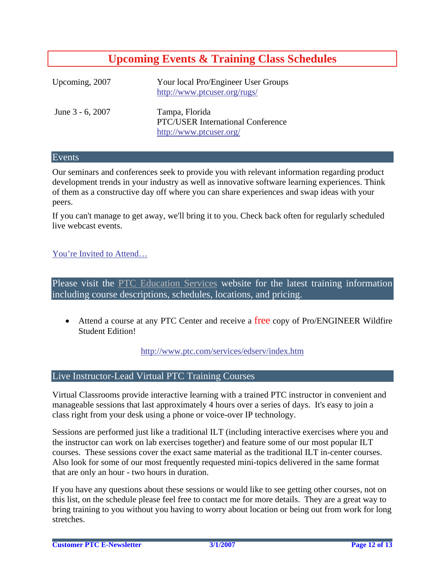## **Upcoming Events & Training Class Schedules**

<span id="page-11-0"></span>

| Upcoming, 2007   | Your local Pro/Engineer User Groups<br>http://www.ptcuser.org/rugs/                   |
|------------------|---------------------------------------------------------------------------------------|
| June 3 - 6, 2007 | Tampa, Florida<br><b>PTC/USER International Conference</b><br>http://www.ptcuser.org/ |

#### Events

Our seminars and conferences seek to provide you with relevant information regarding product development trends in your industry as well as innovative software learning experiences. Think of them as a constructive day off where you can share experiences and swap ideas with your peers.

If you can't manage to get away, we'll bring it to you. Check back often for regularly scheduled live webcast events.

#### [You're Invited to Attend…](http://www.ptc.com/company/news/events/index.htm)

Please visit the [PTC Education Services](http://www.ptc.com/services/edserv/) website for the latest training information including course descriptions, schedules, locations, and pricing.

• Attend a course at any PTC Center and receive a free copy of Pro/ENGINEER Wildfire Student Edition!

<http://www.ptc.com/services/edserv/index.htm>

#### Live Instructor-Lead Virtual PTC Training Courses

Virtual Classrooms provide interactive learning with a trained PTC instructor in convenient and manageable sessions that last approximately 4 hours over a series of days. It's easy to join a class right from your desk using a phone or voice-over IP technology.

Sessions are performed just like a traditional ILT (including interactive exercises where you and the instructor can work on lab exercises together) and feature some of our most popular ILT courses. These sessions cover the exact same material as the traditional ILT in-center courses. Also look for some of our most frequently requested mini-topics delivered in the same format that are only an hour - two hours in duration.

If you have any questions about these sessions or would like to see getting other courses, not on this list, on the schedule please feel free to contact me for more details. They are a great way to bring training to you without you having to worry about location or being out from work for long stretches.